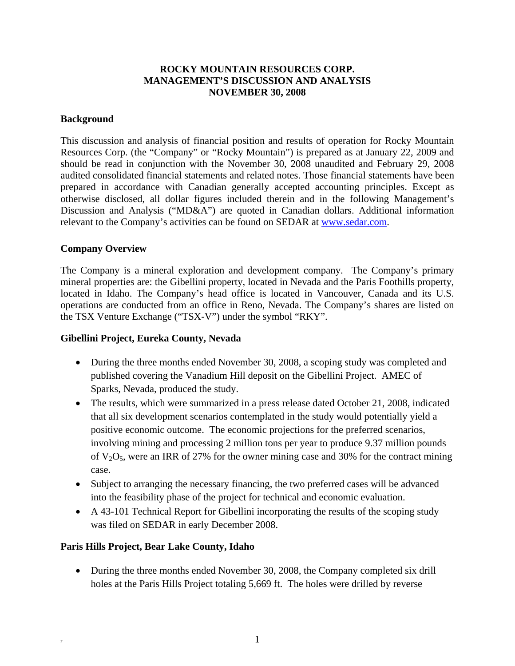## **ROCKY MOUNTAIN RESOURCES CORP. MANAGEMENT'S DISCUSSION AND ANALYSIS NOVEMBER 30, 2008**

### **Background**

This discussion and analysis of financial position and results of operation for Rocky Mountain Resources Corp. (the "Company" or "Rocky Mountain") is prepared as at January 22, 2009 and should be read in conjunction with the November 30, 2008 unaudited and February 29, 2008 audited consolidated financial statements and related notes. Those financial statements have been prepared in accordance with Canadian generally accepted accounting principles. Except as otherwise disclosed, all dollar figures included therein and in the following Management's Discussion and Analysis ("MD&A") are quoted in Canadian dollars. Additional information relevant to the Company's activities can be found on SEDAR at www.sedar.com.

### **Company Overview**

The Company is a mineral exploration and development company. The Company's primary mineral properties are: the Gibellini property, located in Nevada and the Paris Foothills property, located in Idaho. The Company's head office is located in Vancouver, Canada and its U.S. operations are conducted from an office in Reno, Nevada. The Company's shares are listed on the TSX Venture Exchange ("TSX-V") under the symbol "RKY".

### **Gibellini Project, Eureka County, Nevada**

- During the three months ended November 30, 2008, a scoping study was completed and published covering the Vanadium Hill deposit on the Gibellini Project. AMEC of Sparks, Nevada, produced the study.
- The results, which were summarized in a press release dated October 21, 2008, indicated that all six development scenarios contemplated in the study would potentially yield a positive economic outcome. The economic projections for the preferred scenarios, involving mining and processing 2 million tons per year to produce 9.37 million pounds of  $V_2O_5$ , were an IRR of 27% for the owner mining case and 30% for the contract mining case.
- Subject to arranging the necessary financing, the two preferred cases will be advanced into the feasibility phase of the project for technical and economic evaluation.
- A 43-101 Technical Report for Gibellini incorporating the results of the scoping study was filed on SEDAR in early December 2008.

### **Paris Hills Project, Bear Lake County, Idaho**

• During the three months ended November 30, 2008, the Company completed six drill holes at the Paris Hills Project totaling 5,669 ft. The holes were drilled by reverse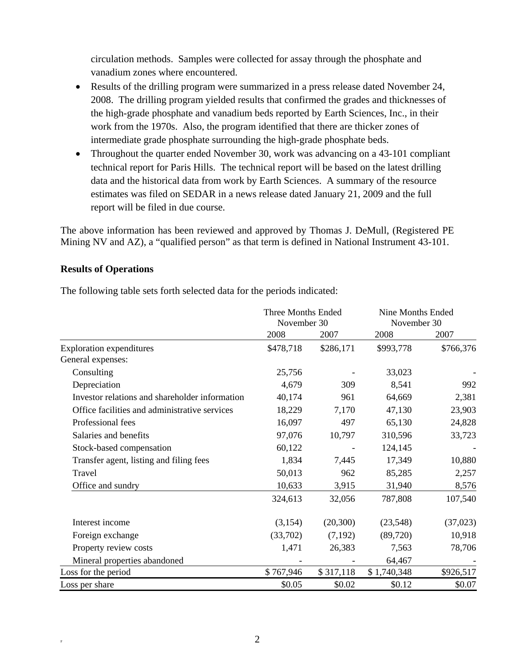circulation methods. Samples were collected for assay through the phosphate and vanadium zones where encountered.

- Results of the drilling program were summarized in a press release dated November 24, 2008. The drilling program yielded results that confirmed the grades and thicknesses of the high-grade phosphate and vanadium beds reported by Earth Sciences, Inc., in their work from the 1970s. Also, the program identified that there are thicker zones of intermediate grade phosphate surrounding the high-grade phosphate beds.
- Throughout the quarter ended November 30, work was advancing on a 43-101 compliant technical report for Paris Hills. The technical report will be based on the latest drilling data and the historical data from work by Earth Sciences. A summary of the resource estimates was filed on SEDAR in a news release dated January 21, 2009 and the full report will be filed in due course.

The above information has been reviewed and approved by Thomas J. DeMull, (Registered PE Mining NV and AZ), a "qualified person" as that term is defined in National Instrument 43-101.

## **Results of Operations**

The following table sets forth selected data for the periods indicated:

|                                                | Three Months Ended<br>November 30 |           | Nine Months Ended<br>November 30 |           |
|------------------------------------------------|-----------------------------------|-----------|----------------------------------|-----------|
|                                                | 2008                              | 2007      | 2008                             | 2007      |
| <b>Exploration expenditures</b>                | \$478,718                         | \$286,171 | \$993,778                        | \$766,376 |
| General expenses:                              |                                   |           |                                  |           |
| Consulting                                     | 25,756                            |           | 33,023                           |           |
| Depreciation                                   | 4,679                             | 309       | 8,541                            | 992       |
| Investor relations and shareholder information | 40,174                            | 961       | 64,669                           | 2,381     |
| Office facilities and administrative services  | 18,229                            | 7,170     | 47,130                           | 23,903    |
| Professional fees                              | 16,097                            | 497       | 65,130                           | 24,828    |
| Salaries and benefits                          | 97,076                            | 10,797    | 310,596                          | 33,723    |
| Stock-based compensation                       | 60,122                            |           | 124,145                          |           |
| Transfer agent, listing and filing fees        | 1,834                             | 7,445     | 17,349                           | 10,880    |
| Travel                                         | 50,013                            | 962       | 85,285                           | 2,257     |
| Office and sundry                              | 10,633                            | 3,915     | 31,940                           | 8,576     |
|                                                | 324,613                           | 32,056    | 787,808                          | 107,540   |
| Interest income                                | (3,154)                           | (20, 300) | (23, 548)                        | (37,023)  |
| Foreign exchange                               | (33,702)                          | (7,192)   | (89,720)                         | 10,918    |
| Property review costs                          | 1,471                             | 26,383    | 7,563                            | 78,706    |
| Mineral properties abandoned                   |                                   |           | 64,467                           |           |
| Loss for the period                            | \$767,946                         | \$317,118 | \$1,740,348                      | \$926,517 |
| Loss per share                                 | \$0.05                            | \$0.02    | \$0.12                           | \$0.07    |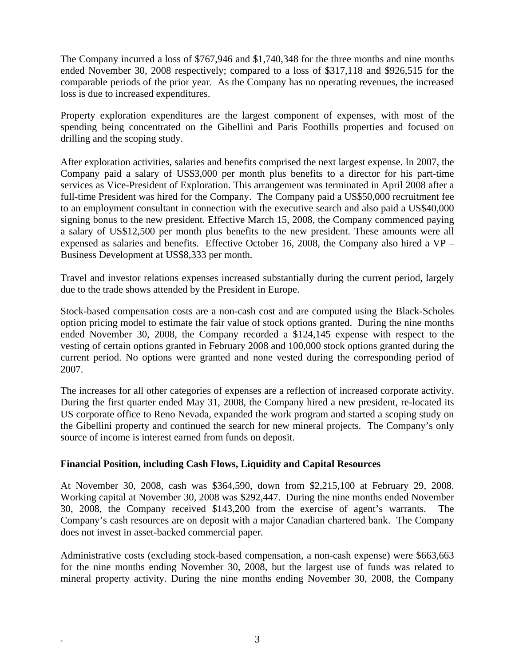The Company incurred a loss of \$767,946 and \$1,740,348 for the three months and nine months ended November 30, 2008 respectively; compared to a loss of \$317,118 and \$926,515 for the comparable periods of the prior year. As the Company has no operating revenues, the increased loss is due to increased expenditures.

Property exploration expenditures are the largest component of expenses, with most of the spending being concentrated on the Gibellini and Paris Foothills properties and focused on drilling and the scoping study.

After exploration activities, salaries and benefits comprised the next largest expense. In 2007, the Company paid a salary of US\$3,000 per month plus benefits to a director for his part-time services as Vice-President of Exploration. This arrangement was terminated in April 2008 after a full-time President was hired for the Company. The Company paid a US\$50,000 recruitment fee to an employment consultant in connection with the executive search and also paid a US\$40,000 signing bonus to the new president. Effective March 15, 2008, the Company commenced paying a salary of US\$12,500 per month plus benefits to the new president. These amounts were all expensed as salaries and benefits. Effective October 16, 2008, the Company also hired a VP – Business Development at US\$8,333 per month.

Travel and investor relations expenses increased substantially during the current period, largely due to the trade shows attended by the President in Europe.

Stock-based compensation costs are a non-cash cost and are computed using the Black-Scholes option pricing model to estimate the fair value of stock options granted. During the nine months ended November 30, 2008, the Company recorded a \$124,145 expense with respect to the vesting of certain options granted in February 2008 and 100,000 stock options granted during the current period. No options were granted and none vested during the corresponding period of 2007.

The increases for all other categories of expenses are a reflection of increased corporate activity. During the first quarter ended May 31, 2008, the Company hired a new president, re-located its US corporate office to Reno Nevada, expanded the work program and started a scoping study on the Gibellini property and continued the search for new mineral projects. The Company's only source of income is interest earned from funds on deposit.

# **Financial Position, including Cash Flows, Liquidity and Capital Resources**

At November 30, 2008, cash was \$364,590, down from \$2,215,100 at February 29, 2008. Working capital at November 30, 2008 was \$292,447. During the nine months ended November 30, 2008, the Company received \$143,200 from the exercise of agent's warrants. Company's cash resources are on deposit with a major Canadian chartered bank. The Company does not invest in asset-backed commercial paper.

Administrative costs (excluding stock-based compensation, a non-cash expense) were \$663,663 for the nine months ending November 30, 2008, but the largest use of funds was related to mineral property activity. During the nine months ending November 30, 2008, the Company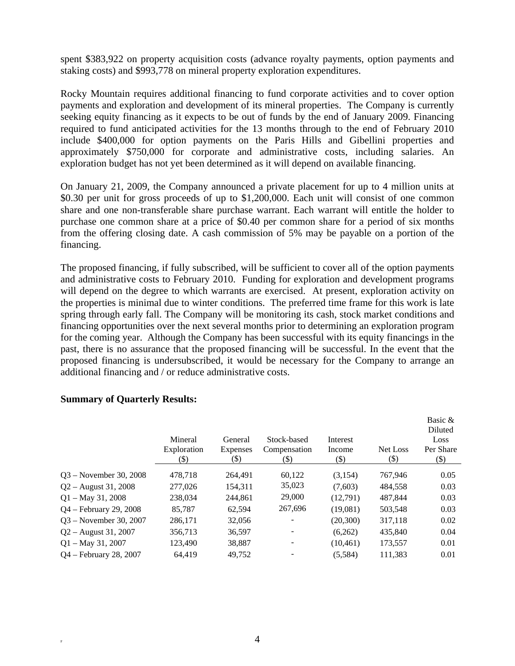spent \$383,922 on property acquisition costs (advance royalty payments, option payments and staking costs) and \$993,778 on mineral property exploration expenditures.

Rocky Mountain requires additional financing to fund corporate activities and to cover option payments and exploration and development of its mineral properties. The Company is currently seeking equity financing as it expects to be out of funds by the end of January 2009. Financing required to fund anticipated activities for the 13 months through to the end of February 2010 include \$400,000 for option payments on the Paris Hills and Gibellini properties and approximately \$750,000 for corporate and administrative costs, including salaries. An exploration budget has not yet been determined as it will depend on available financing.

On January 21, 2009, the Company announced a private placement for up to 4 million units at \$0.30 per unit for gross proceeds of up to \$1,200,000. Each unit will consist of one common share and one non-transferable share purchase warrant. Each warrant will entitle the holder to purchase one common share at a price of \$0.40 per common share for a period of six months from the offering closing date. A cash commission of 5% may be payable on a portion of the financing.

The proposed financing, if fully subscribed, will be sufficient to cover all of the option payments and administrative costs to February 2010. Funding for exploration and development programs will depend on the degree to which warrants are exercised. At present, exploration activity on the properties is minimal due to winter conditions. The preferred time frame for this work is late spring through early fall. The Company will be monitoring its cash, stock market conditions and financing opportunities over the next several months prior to determining an exploration program for the coming year. Although the Company has been successful with its equity financings in the past, there is no assurance that the proposed financing will be successful. In the event that the proposed financing is undersubscribed, it would be necessary for the Company to arrange an additional financing and / or reduce administrative costs.

|                          | Mineral<br>Exploration<br>(\$) | General<br>Expenses<br>$\left( \text{\$}\right)$ | Stock-based<br>Compensation<br>(\$) | Interest<br>Income<br>$\left( \text{\$}\right)$ | Net Loss<br>$(\$)$ | Basic &<br>Diluted<br>Loss<br>Per Share<br>$(\$)$ |
|--------------------------|--------------------------------|--------------------------------------------------|-------------------------------------|-------------------------------------------------|--------------------|---------------------------------------------------|
| 03 – November 30, 2008   | 478,718                        | 264,491                                          | 60,122                              | (3,154)                                         | 767,946            | 0.05                                              |
| $Q2 -$ August 31, 2008   | 277,026                        | 154.311                                          | 35,023                              | (7,603)                                         | 484.558            | 0.03                                              |
| $Q1 - May 31, 2008$      | 238,034                        | 244.861                                          | 29,000                              | (12,791)                                        | 487.844            | 0.03                                              |
| Q4 – February 29, 2008   | 85,787                         | 62,594                                           | 267,696                             | (19,081)                                        | 503,548            | 0.03                                              |
| $Q3 - November 30, 2007$ | 286,171                        | 32,056                                           |                                     | (20, 300)                                       | 317,118            | 0.02                                              |
| $Q2 -$ August 31, 2007   | 356,713                        | 36,597                                           |                                     | (6,262)                                         | 435,840            | 0.04                                              |
| $Q1 - May 31, 2007$      | 123,490                        | 38,887                                           |                                     | (10, 461)                                       | 173,557            | 0.01                                              |
| Q4 – February 28, 2007   | 64.419                         | 49.752                                           |                                     | (5,584)                                         | 111,383            | 0.01                                              |

### **Summary of Quarterly Results:**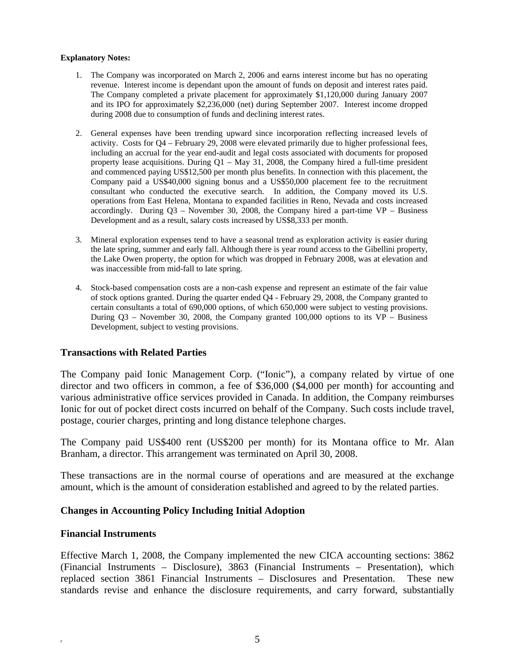#### **Explanatory Notes:**

- 1. The Company was incorporated on March 2, 2006 and earns interest income but has no operating revenue. Interest income is dependant upon the amount of funds on deposit and interest rates paid. The Company completed a private placement for approximately \$1,120,000 during January 2007 and its IPO for approximately \$2,236,000 (net) during September 2007. Interest income dropped during 2008 due to consumption of funds and declining interest rates.
- 2. General expenses have been trending upward since incorporation reflecting increased levels of activity. Costs for Q4 – February 29, 2008 were elevated primarily due to higher professional fees, including an accrual for the year end-audit and legal costs associated with documents for proposed property lease acquisitions. During  $Q1 - May 31$ , 2008, the Company hired a full-time president and commenced paying US\$12,500 per month plus benefits. In connection with this placement, the Company paid a US\$40,000 signing bonus and a US\$50,000 placement fee to the recruitment consultant who conducted the executive search. In addition, the Company moved its U.S. operations from East Helena, Montana to expanded facilities in Reno, Nevada and costs increased accordingly. During  $Q3$  – November 30, 2008, the Company hired a part-time  $VP$  – Business Development and as a result, salary costs increased by US\$8,333 per month.
- 3. Mineral exploration expenses tend to have a seasonal trend as exploration activity is easier during the late spring, summer and early fall. Although there is year round access to the Gibellini property, the Lake Owen property, the option for which was dropped in February 2008, was at elevation and was inaccessible from mid-fall to late spring.
- 4. Stock-based compensation costs are a non-cash expense and represent an estimate of the fair value of stock options granted. During the quarter ended Q4 - February 29, 2008, the Company granted to certain consultants a total of 690,000 options, of which 650,000 were subject to vesting provisions. During  $Q3$  – November 30, 2008, the Company granted 100,000 options to its  $VP -$  Business Development, subject to vesting provisions.

### **Transactions with Related Parties**

The Company paid Ionic Management Corp. ("Ionic"), a company related by virtue of one director and two officers in common, a fee of \$36,000 (\$4,000 per month) for accounting and various administrative office services provided in Canada. In addition, the Company reimburses Ionic for out of pocket direct costs incurred on behalf of the Company. Such costs include travel, postage, courier charges, printing and long distance telephone charges.

The Company paid US\$400 rent (US\$200 per month) for its Montana office to Mr. Alan Branham, a director. This arrangement was terminated on April 30, 2008.

These transactions are in the normal course of operations and are measured at the exchange amount, which is the amount of consideration established and agreed to by the related parties.

### **Changes in Accounting Policy Including Initial Adoption**

#### **Financial Instruments**

Effective March 1, 2008, the Company implemented the new CICA accounting sections: 3862 (Financial Instruments – Disclosure), 3863 (Financial Instruments – Presentation), which replaced section 3861 Financial Instruments – Disclosures and Presentation. These new standards revise and enhance the disclosure requirements, and carry forward, substantially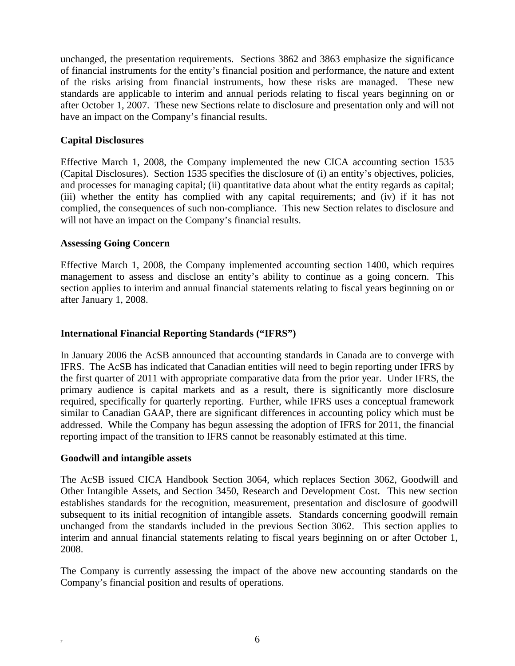unchanged, the presentation requirements. Sections 3862 and 3863 emphasize the significance of financial instruments for the entity's financial position and performance, the nature and extent of the risks arising from financial instruments, how these risks are managed. These new standards are applicable to interim and annual periods relating to fiscal years beginning on or after October 1, 2007. These new Sections relate to disclosure and presentation only and will not have an impact on the Company's financial results.

## **Capital Disclosures**

Effective March 1, 2008, the Company implemented the new CICA accounting section 1535 (Capital Disclosures). Section 1535 specifies the disclosure of (i) an entity's objectives, policies, and processes for managing capital; (ii) quantitative data about what the entity regards as capital; (iii) whether the entity has complied with any capital requirements; and (iv) if it has not complied, the consequences of such non-compliance. This new Section relates to disclosure and will not have an impact on the Company's financial results.

### **Assessing Going Concern**

Effective March 1, 2008, the Company implemented accounting section 1400, which requires management to assess and disclose an entity's ability to continue as a going concern. This section applies to interim and annual financial statements relating to fiscal years beginning on or after January 1, 2008.

## **International Financial Reporting Standards ("IFRS")**

In January 2006 the AcSB announced that accounting standards in Canada are to converge with IFRS. The AcSB has indicated that Canadian entities will need to begin reporting under IFRS by the first quarter of 2011 with appropriate comparative data from the prior year. Under IFRS, the primary audience is capital markets and as a result, there is significantly more disclosure required, specifically for quarterly reporting. Further, while IFRS uses a conceptual framework similar to Canadian GAAP, there are significant differences in accounting policy which must be addressed. While the Company has begun assessing the adoption of IFRS for 2011, the financial reporting impact of the transition to IFRS cannot be reasonably estimated at this time.

### **Goodwill and intangible assets**

The AcSB issued CICA Handbook Section 3064, which replaces Section 3062, Goodwill and Other Intangible Assets, and Section 3450, Research and Development Cost. This new section establishes standards for the recognition, measurement, presentation and disclosure of goodwill subsequent to its initial recognition of intangible assets. Standards concerning goodwill remain unchanged from the standards included in the previous Section 3062. This section applies to interim and annual financial statements relating to fiscal years beginning on or after October 1, 2008.

The Company is currently assessing the impact of the above new accounting standards on the Company's financial position and results of operations.